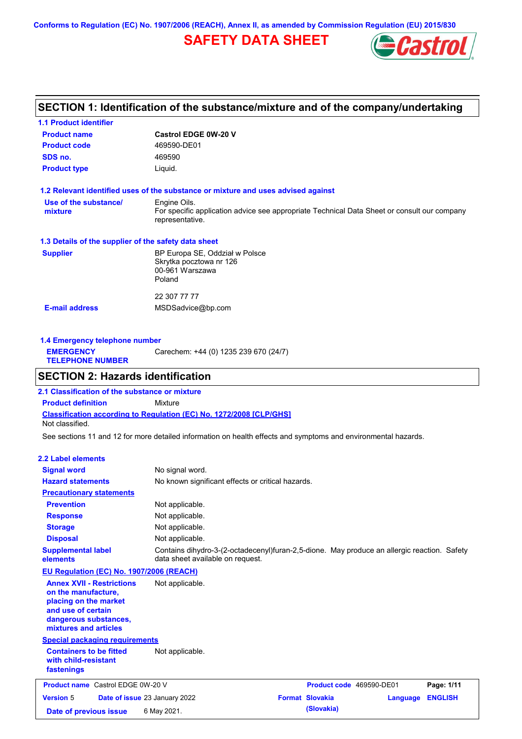**Conforms to Regulation (EC) No. 1907/2006 (REACH), Annex II, as amended by Commission Regulation (EU) 2015/830**

# **SAFETY DATA SHEET**



## **SECTION 1: Identification of the substance/mixture and of the company/undertaking**

| <b>1.1 Product identifier</b>                        |                                                                                                                |
|------------------------------------------------------|----------------------------------------------------------------------------------------------------------------|
| <b>Product name</b>                                  | <b>Castrol EDGE 0W-20 V</b>                                                                                    |
| <b>Product code</b>                                  | 469590-DE01                                                                                                    |
| SDS no.                                              | 469590                                                                                                         |
| <b>Product type</b>                                  | Liquid.                                                                                                        |
|                                                      | 1.2 Relevant identified uses of the substance or mixture and uses advised against                              |
| Use of the substance/                                | Engine Oils.                                                                                                   |
| mixture                                              | For specific application advice see appropriate Technical Data Sheet or consult our company<br>representative. |
| 1.3 Details of the supplier of the safety data sheet |                                                                                                                |
| <b>Supplier</b>                                      | BP Europa SE, Oddział w Polsce                                                                                 |
|                                                      | Skrytka pocztowa nr 126                                                                                        |
|                                                      | 00-961 Warszawa<br>Poland                                                                                      |
|                                                      |                                                                                                                |
|                                                      | 22 307 77 77                                                                                                   |
| <b>E-mail address</b>                                | MSDSadvice@bp.com                                                                                              |
|                                                      |                                                                                                                |
|                                                      |                                                                                                                |

**1.4 Emergency telephone number EMERGENCY TELEPHONE NUMBER** Carechem: +44 (0) 1235 239 670 (24/7)

### **SECTION 2: Hazards identification**

**Classification according to Regulation (EC) No. 1272/2008 [CLP/GHS] 2.1 Classification of the substance or mixture Product definition** Mixture Not classified.

See sections 11 and 12 for more detailed information on health effects and symptoms and environmental hazards.

#### **2.2 Label elements**

| <b>Signal word</b><br><b>Hazard statements</b>                                                                                                           | No signal word.<br>No known significant effects or critical hazards.                                                            |                        |                          |                |
|----------------------------------------------------------------------------------------------------------------------------------------------------------|---------------------------------------------------------------------------------------------------------------------------------|------------------------|--------------------------|----------------|
| <b>Precautionary statements</b>                                                                                                                          |                                                                                                                                 |                        |                          |                |
| <b>Prevention</b>                                                                                                                                        | Not applicable.                                                                                                                 |                        |                          |                |
| <b>Response</b>                                                                                                                                          | Not applicable.                                                                                                                 |                        |                          |                |
| <b>Storage</b>                                                                                                                                           | Not applicable.                                                                                                                 |                        |                          |                |
| <b>Disposal</b>                                                                                                                                          | Not applicable.                                                                                                                 |                        |                          |                |
| <b>Supplemental label</b><br>elements                                                                                                                    | Contains dihydro-3-(2-octadecenyl)furan-2,5-dione. May produce an allergic reaction. Safety<br>data sheet available on request. |                        |                          |                |
| EU Regulation (EC) No. 1907/2006 (REACH)                                                                                                                 |                                                                                                                                 |                        |                          |                |
| <b>Annex XVII - Restrictions</b><br>on the manufacture.<br>placing on the market<br>and use of certain<br>dangerous substances,<br>mixtures and articles | Not applicable.                                                                                                                 |                        |                          |                |
| <b>Special packaging requirements</b>                                                                                                                    |                                                                                                                                 |                        |                          |                |
| <b>Containers to be fitted</b><br>with child-resistant<br>fastenings                                                                                     | Not applicable.                                                                                                                 |                        |                          |                |
| <b>Product name</b> Castrol EDGE 0W-20 V                                                                                                                 |                                                                                                                                 |                        | Product code 469590-DE01 | Page: 1/11     |
| <b>Version 5</b>                                                                                                                                         | Date of issue 23 January 2022                                                                                                   | <b>Format Slovakia</b> | Language                 | <b>ENGLISH</b> |
| Date of previous issue                                                                                                                                   | 6 May 2021.                                                                                                                     | (Slovakia)             |                          |                |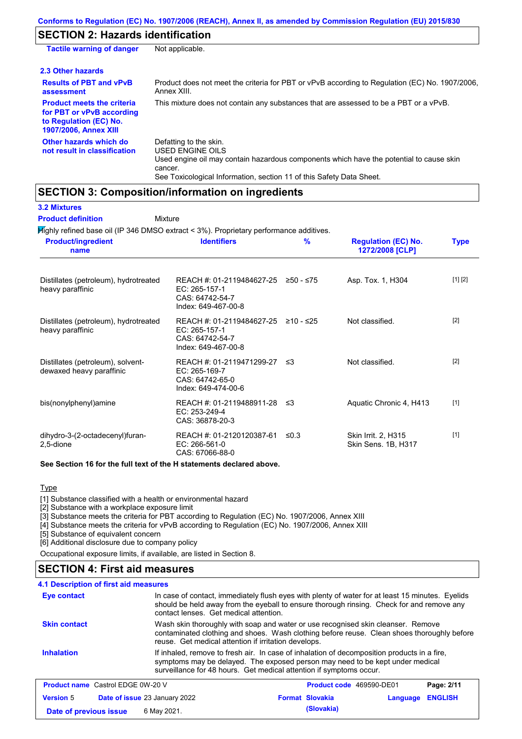# **SECTION 2: Hazards identification**

| <b>Tactile warning of danger</b>                                                                                         | Not applicable.                                                                                                                                                                                                          |
|--------------------------------------------------------------------------------------------------------------------------|--------------------------------------------------------------------------------------------------------------------------------------------------------------------------------------------------------------------------|
| 2.3 Other hazards                                                                                                        |                                                                                                                                                                                                                          |
| <b>Results of PBT and vPvB</b><br>assessment                                                                             | Product does not meet the criteria for PBT or vPvB according to Regulation (EC) No. 1907/2006,<br>Annex XIII.                                                                                                            |
| <b>Product meets the criteria</b><br>for PBT or vPvB according<br>to Regulation (EC) No.<br><b>1907/2006, Annex XIII</b> | This mixture does not contain any substances that are assessed to be a PBT or a vPvB.                                                                                                                                    |
| Other hazards which do<br>not result in classification                                                                   | Defatting to the skin.<br>USED ENGINE OILS<br>Used engine oil may contain hazardous components which have the potential to cause skin<br>cancer.<br>See Toxicological Information, section 11 of this Safety Data Sheet. |

### **SECTION 3: Composition/information on ingredients**

| <b>Product definition</b>                                                                                                   | Mixture                                                                              |               |                                               |             |
|-----------------------------------------------------------------------------------------------------------------------------|--------------------------------------------------------------------------------------|---------------|-----------------------------------------------|-------------|
| Mighly refined base oil (IP 346 DMSO extract < 3%). Proprietary performance additives.<br><b>Product/ingredient</b><br>name | <b>Identifiers</b>                                                                   | $\frac{9}{6}$ | <b>Regulation (EC) No.</b><br>1272/2008 [CLP] | <b>Type</b> |
| Distillates (petroleum), hydrotreated<br>heavy paraffinic                                                                   | REACH #: 01-2119484627-25<br>EC: 265-157-1<br>CAS: 64742-54-7<br>Index: 649-467-00-8 | $≥50 - ≤75$   | Asp. Tox. 1, H304                             | [1] [2]     |
| Distillates (petroleum), hydrotreated<br>heavy paraffinic                                                                   | REACH #: 01-2119484627-25<br>EC: 265-157-1<br>CAS: 64742-54-7<br>Index: 649-467-00-8 | $≥10 - ≤25$   | Not classified.                               | $[2]$       |
| Distillates (petroleum), solvent-<br>dewaxed heavy paraffinic                                                               | REACH #: 01-2119471299-27<br>EC: 265-169-7<br>CAS: 64742-65-0<br>Index: 649-474-00-6 | ≲3            | Not classified.                               | $[2]$       |
| bis(nonylphenyl)amine                                                                                                       | REACH #: 01-2119488911-28<br>$EC: 253-249-4$<br>CAS: 36878-20-3                      | ≤3            | Aquatic Chronic 4, H413                       | $[1]$       |
| dihydro-3-(2-octadecenyl)furan-<br>2,5-dione                                                                                | REACH #: 01-2120120387-61<br>EC: 266-561-0<br>CAS: 67066-88-0                        | $\leq 0.3$    | Skin Irrit. 2, H315<br>Skin Sens. 1B, H317    | $[1]$       |

**See Section 16 for the full text of the H statements declared above.**

#### **Type**

[1] Substance classified with a health or environmental hazard

[2] Substance with a workplace exposure limit

[3] Substance meets the criteria for PBT according to Regulation (EC) No. 1907/2006, Annex XIII

[4] Substance meets the criteria for vPvB according to Regulation (EC) No. 1907/2006, Annex XIII

[5] Substance of equivalent concern

[6] Additional disclosure due to company policy

Occupational exposure limits, if available, are listed in Section 8.

### **SECTION 4: First aid measures**

| 4.1 Description of first aid measures                                                                                                                                                                                                                  |                                                      |                                                                                                                                                                                                                                                     |          |                |  |
|--------------------------------------------------------------------------------------------------------------------------------------------------------------------------------------------------------------------------------------------------------|------------------------------------------------------|-----------------------------------------------------------------------------------------------------------------------------------------------------------------------------------------------------------------------------------------------------|----------|----------------|--|
| In case of contact, immediately flush eyes with plenty of water for at least 15 minutes. Eyelids<br>Eye contact<br>should be held away from the eyeball to ensure thorough rinsing. Check for and remove any<br>contact lenses. Get medical attention. |                                                      |                                                                                                                                                                                                                                                     |          |                |  |
| <b>Skin contact</b>                                                                                                                                                                                                                                    | reuse. Get medical attention if irritation develops. | Wash skin thoroughly with soap and water or use recognised skin cleanser. Remove<br>contaminated clothing and shoes. Wash clothing before reuse. Clean shoes thoroughly before                                                                      |          |                |  |
| <b>Inhalation</b>                                                                                                                                                                                                                                      |                                                      | If inhaled, remove to fresh air. In case of inhalation of decomposition products in a fire,<br>symptoms may be delayed. The exposed person may need to be kept under medical<br>surveillance for 48 hours. Get medical attention if symptoms occur. |          |                |  |
| <b>Product name</b> Castrol EDGE 0W-20 V                                                                                                                                                                                                               |                                                      | Product code 469590-DE01                                                                                                                                                                                                                            |          | Page: 2/11     |  |
| <b>Version 5</b>                                                                                                                                                                                                                                       | <b>Date of issue 23 January 2022</b>                 | <b>Format Slovakia</b>                                                                                                                                                                                                                              | Language | <b>ENGLISH</b> |  |
| Date of previous issue                                                                                                                                                                                                                                 | 6 May 2021.                                          | (Slovakia)                                                                                                                                                                                                                                          |          |                |  |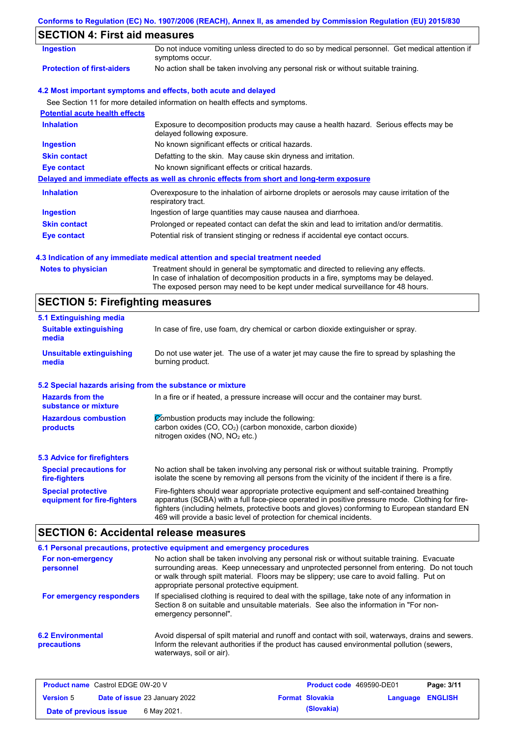### **Conforms to Regulation (EC) No. 1907/2006 (REACH), Annex II, as amended by Commission Regulation (EU) 2015/830**

# **SECTION 4: First aid measures**

| Ingestion                             | Do not induce vomiting unless directed to do so by medical personnel. Get medical attention if                      |  |  |
|---------------------------------------|---------------------------------------------------------------------------------------------------------------------|--|--|
|                                       | symptoms occur.                                                                                                     |  |  |
| <b>Protection of first-aiders</b>     | No action shall be taken involving any personal risk or without suitable training.                                  |  |  |
|                                       | 4.2 Most important symptoms and effects, both acute and delayed                                                     |  |  |
|                                       | See Section 11 for more detailed information on health effects and symptoms.                                        |  |  |
| <b>Potential acute health effects</b> |                                                                                                                     |  |  |
| <b>Inhalation</b>                     | Exposure to decomposition products may cause a health hazard. Serious effects may be<br>delayed following exposure. |  |  |
| <b>Ingestion</b>                      | No known significant effects or critical hazards.                                                                   |  |  |
| <b>Skin contact</b>                   | Defatting to the skin. May cause skin dryness and irritation.                                                       |  |  |
| <b>Eye contact</b>                    | No known significant effects or critical hazards.                                                                   |  |  |
|                                       | Delayed and immediate effects as well as chronic effects from short and long-term exposure                          |  |  |
| <b>Inhalation</b>                     | Overexposure to the inhalation of airborne droplets or aerosols may cause irritation of the<br>respiratory tract.   |  |  |
| <b>Ingestion</b>                      | Ingestion of large quantities may cause nausea and diarrhoea.                                                       |  |  |
| <b>Skin contact</b>                   | Prolonged or repeated contact can defat the skin and lead to irritation and/or dermatitis.                          |  |  |
| Eye contact                           | Potential risk of transient stinging or redness if accidental eye contact occurs.                                   |  |  |

### **4.3 Indication of any immediate medical attention and special treatment needed**

| <b>Notes to physician</b> | Treatment should in general be symptomatic and directed to relieving any effects.   |
|---------------------------|-------------------------------------------------------------------------------------|
|                           | In case of inhalation of decomposition products in a fire, symptoms may be delayed. |
|                           | The exposed person may need to be kept under medical surveillance for 48 hours.     |

# **SECTION 5: Firefighting measures**

| 5.1 Extinguishing media                                   |                                                                                                                                                                                                                                                                                                                                                                   |  |  |
|-----------------------------------------------------------|-------------------------------------------------------------------------------------------------------------------------------------------------------------------------------------------------------------------------------------------------------------------------------------------------------------------------------------------------------------------|--|--|
| <b>Suitable extinguishing</b><br>media                    | In case of fire, use foam, dry chemical or carbon dioxide extinguisher or spray.                                                                                                                                                                                                                                                                                  |  |  |
| <b>Unsuitable extinguishing</b><br>media                  | Do not use water jet. The use of a water jet may cause the fire to spread by splashing the<br>burning product.                                                                                                                                                                                                                                                    |  |  |
| 5.2 Special hazards arising from the substance or mixture |                                                                                                                                                                                                                                                                                                                                                                   |  |  |
| <b>Hazards from the</b><br>substance or mixture           | In a fire or if heated, a pressure increase will occur and the container may burst.                                                                                                                                                                                                                                                                               |  |  |
| <b>Hazardous combustion</b><br>products                   | Combustion products may include the following:<br>carbon oxides $(CO, CO2)$ (carbon monoxide, carbon dioxide)<br>nitrogen oxides ( $NO$ , $NO2$ etc.)                                                                                                                                                                                                             |  |  |
| 5.3 Advice for firefighters                               |                                                                                                                                                                                                                                                                                                                                                                   |  |  |
| <b>Special precautions for</b><br>fire-fighters           | No action shall be taken involving any personal risk or without suitable training. Promptly<br>isolate the scene by removing all persons from the vicinity of the incident if there is a fire.                                                                                                                                                                    |  |  |
| <b>Special protective</b><br>equipment for fire-fighters  | Fire-fighters should wear appropriate protective equipment and self-contained breathing<br>apparatus (SCBA) with a full face-piece operated in positive pressure mode. Clothing for fire-<br>fighters (including helmets, protective boots and gloves) conforming to European standard EN<br>469 will provide a basic level of protection for chemical incidents. |  |  |

# **SECTION 6: Accidental release measures**

|                                         | 6.1 Personal precautions, protective equipment and emergency procedures                                                                                                                                                                                                                                                             |
|-----------------------------------------|-------------------------------------------------------------------------------------------------------------------------------------------------------------------------------------------------------------------------------------------------------------------------------------------------------------------------------------|
| For non-emergency<br>personnel          | No action shall be taken involving any personal risk or without suitable training. Evacuate<br>surrounding areas. Keep unnecessary and unprotected personnel from entering. Do not touch<br>or walk through spilt material. Floors may be slippery; use care to avoid falling. Put on<br>appropriate personal protective equipment. |
| For emergency responders                | If specialised clothing is required to deal with the spillage, take note of any information in<br>Section 8 on suitable and unsuitable materials. See also the information in "For non-<br>emergency personnel".                                                                                                                    |
| <b>6.2 Environmental</b><br>precautions | Avoid dispersal of spilt material and runoff and contact with soil, waterways, drains and sewers.<br>Inform the relevant authorities if the product has caused environmental pollution (sewers,<br>waterways, soil or air).                                                                                                         |

| <b>Product name</b> Castrol EDGE 0W-20 V |  | <b>Product code</b> 469590-DE01      |  | Page: 3/11             |                  |  |
|------------------------------------------|--|--------------------------------------|--|------------------------|------------------|--|
| <b>Version 5</b>                         |  | <b>Date of issue 23 January 2022</b> |  | <b>Format Slovakia</b> | Language ENGLISH |  |
| Date of previous issue                   |  | 6 May 2021.                          |  | (Slovakia)             |                  |  |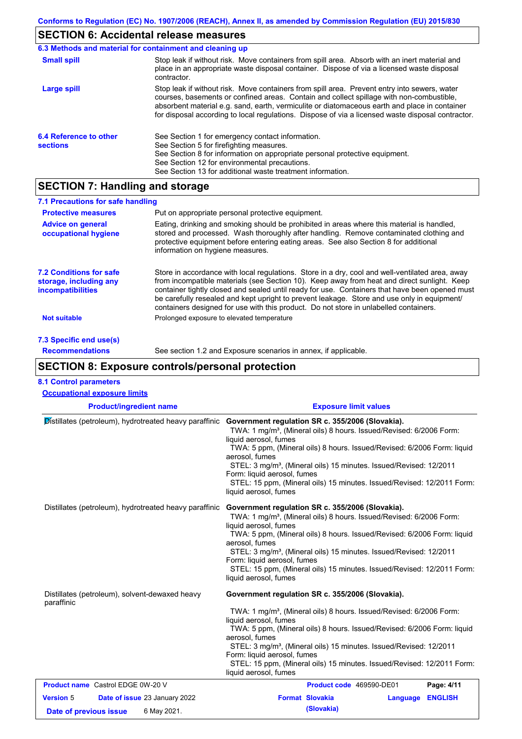# **SECTION 6: Accidental release measures**

|                                           | 6.3 Methods and material for containment and cleaning up                                                                                                                                                                                                                                                                                                                                       |  |  |
|-------------------------------------------|------------------------------------------------------------------------------------------------------------------------------------------------------------------------------------------------------------------------------------------------------------------------------------------------------------------------------------------------------------------------------------------------|--|--|
| <b>Small spill</b>                        | Stop leak if without risk. Move containers from spill area. Absorb with an inert material and<br>place in an appropriate waste disposal container. Dispose of via a licensed waste disposal<br>contractor.                                                                                                                                                                                     |  |  |
| Large spill                               | Stop leak if without risk. Move containers from spill area. Prevent entry into sewers, water<br>courses, basements or confined areas. Contain and collect spillage with non-combustible,<br>absorbent material e.g. sand, earth, vermiculite or diatomaceous earth and place in container<br>for disposal according to local regulations. Dispose of via a licensed waste disposal contractor. |  |  |
| 6.4 Reference to other<br><b>sections</b> | See Section 1 for emergency contact information.<br>See Section 5 for firefighting measures.<br>See Section 8 for information on appropriate personal protective equipment.<br>See Section 12 for environmental precautions.<br>See Section 13 for additional waste treatment information.                                                                                                     |  |  |

# **SECTION 7: Handling and storage**

| 7.1 Precautions for safe handling                                                    |                                                                                                                                                                                                                                                                                                                                                                                                                                                                                          |
|--------------------------------------------------------------------------------------|------------------------------------------------------------------------------------------------------------------------------------------------------------------------------------------------------------------------------------------------------------------------------------------------------------------------------------------------------------------------------------------------------------------------------------------------------------------------------------------|
| <b>Protective measures</b>                                                           | Put on appropriate personal protective equipment.                                                                                                                                                                                                                                                                                                                                                                                                                                        |
| <b>Advice on general</b><br>occupational hygiene                                     | Eating, drinking and smoking should be prohibited in areas where this material is handled,<br>stored and processed. Wash thoroughly after handling. Remove contaminated clothing and<br>protective equipment before entering eating areas. See also Section 8 for additional<br>information on hygiene measures.                                                                                                                                                                         |
| <b>7.2 Conditions for safe</b><br>storage, including any<br><i>incompatibilities</i> | Store in accordance with local regulations. Store in a dry, cool and well-ventilated area, away<br>from incompatible materials (see Section 10). Keep away from heat and direct sunlight. Keep<br>container tightly closed and sealed until ready for use. Containers that have been opened must<br>be carefully resealed and kept upright to prevent leakage. Store and use only in equipment/<br>containers designed for use with this product. Do not store in unlabelled containers. |
| <b>Not suitable</b>                                                                  | Prolonged exposure to elevated temperature                                                                                                                                                                                                                                                                                                                                                                                                                                               |
| 7.3 Specific end use(s)                                                              |                                                                                                                                                                                                                                                                                                                                                                                                                                                                                          |
| <b>Recommendations</b>                                                               | See section 1.2 and Exposure scenarios in annex, if applicable.                                                                                                                                                                                                                                                                                                                                                                                                                          |

## **SECTION 8: Exposure controls/personal protection**

#### **8.1 Control parameters**

**Occupational exposure limits**

| <b>Product/ingredient name</b>                                                                                                                                                                                                                                                                                                                                                                                                                                                                                                                | <b>Exposure limit values</b>                                                                                                                                                                                                                                                                                                                                                                                                                                                  |  |  |  |  |
|-----------------------------------------------------------------------------------------------------------------------------------------------------------------------------------------------------------------------------------------------------------------------------------------------------------------------------------------------------------------------------------------------------------------------------------------------------------------------------------------------------------------------------------------------|-------------------------------------------------------------------------------------------------------------------------------------------------------------------------------------------------------------------------------------------------------------------------------------------------------------------------------------------------------------------------------------------------------------------------------------------------------------------------------|--|--|--|--|
| Distillates (petroleum), hydrotreated heavy paraffinic                                                                                                                                                                                                                                                                                                                                                                                                                                                                                        | Government regulation SR c. 355/2006 (Slovakia).<br>TWA: 1 mg/m <sup>3</sup> , (Mineral oils) 8 hours. Issued/Revised: 6/2006 Form:<br>liquid aerosol, fumes<br>TWA: 5 ppm, (Mineral oils) 8 hours. Issued/Revised: 6/2006 Form: liquid<br>aerosol. fumes<br>STEL: 3 mg/m <sup>3</sup> , (Mineral oils) 15 minutes. Issued/Revised: 12/2011<br>Form: liquid aerosol, fumes<br>STEL: 15 ppm, (Mineral oils) 15 minutes. Issued/Revised: 12/2011 Form:<br>liquid aerosol, fumes |  |  |  |  |
| Distillates (petroleum), hydrotreated heavy paraffinic                                                                                                                                                                                                                                                                                                                                                                                                                                                                                        | Government regulation SR c. 355/2006 (Slovakia).<br>TWA: 1 mg/m <sup>3</sup> , (Mineral oils) 8 hours. Issued/Revised: 6/2006 Form:<br>liquid aerosol, fumes<br>TWA: 5 ppm, (Mineral oils) 8 hours. Issued/Revised: 6/2006 Form: liquid<br>aerosol, fumes<br>STEL: 3 mg/m <sup>3</sup> , (Mineral oils) 15 minutes. Issued/Revised: 12/2011<br>Form: liquid aerosol, fumes<br>STEL: 15 ppm, (Mineral oils) 15 minutes. Issued/Revised: 12/2011 Form:<br>liquid aerosol, fumes |  |  |  |  |
| Distillates (petroleum), solvent-dewaxed heavy<br>Government regulation SR c. 355/2006 (Slovakia).<br>paraffinic<br>TWA: 1 mg/m <sup>3</sup> , (Mineral oils) 8 hours. Issued/Revised: 6/2006 Form:<br>liquid aerosol, fumes<br>TWA: 5 ppm, (Mineral oils) 8 hours. Issued/Revised: 6/2006 Form: liquid<br>aerosol, fumes<br>STEL: 3 mg/m <sup>3</sup> , (Mineral oils) 15 minutes. Issued/Revised: 12/2011<br>Form: liquid aerosol, fumes<br>STEL: 15 ppm, (Mineral oils) 15 minutes. Issued/Revised: 12/2011 Form:<br>liquid aerosol, fumes |                                                                                                                                                                                                                                                                                                                                                                                                                                                                               |  |  |  |  |
| <b>Product name</b> Castrol EDGE 0W-20 V                                                                                                                                                                                                                                                                                                                                                                                                                                                                                                      | Page: 4/11<br>Product code 469590-DE01                                                                                                                                                                                                                                                                                                                                                                                                                                        |  |  |  |  |
| <b>Version 5</b><br>Date of issue 23 January 2022<br>6 May 2021.<br>Date of previous issue                                                                                                                                                                                                                                                                                                                                                                                                                                                    | <b>Format Slovakia</b><br><b>ENGLISH</b><br>Language<br>(Slovakia)                                                                                                                                                                                                                                                                                                                                                                                                            |  |  |  |  |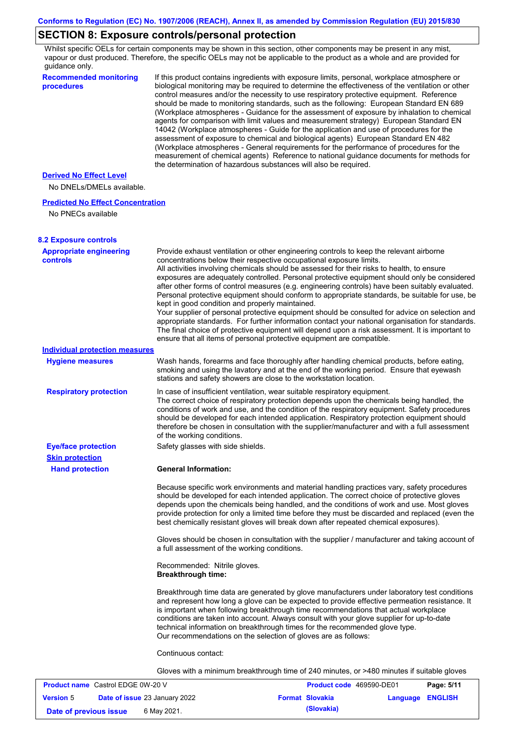# **SECTION 8: Exposure controls/personal protection**

Whilst specific OELs for certain components may be shown in this section, other components may be present in any mist, vapour or dust produced. Therefore, the specific OELs may not be applicable to the product as a whole and are provided for guidance only.

| guiuance only.                                       |                                                                                                                                                                                                                                                                                                                                                                                                                                                                                                                                                                                                                                                                                                                                                                                                                                                                                                                                                                                                                            |
|------------------------------------------------------|----------------------------------------------------------------------------------------------------------------------------------------------------------------------------------------------------------------------------------------------------------------------------------------------------------------------------------------------------------------------------------------------------------------------------------------------------------------------------------------------------------------------------------------------------------------------------------------------------------------------------------------------------------------------------------------------------------------------------------------------------------------------------------------------------------------------------------------------------------------------------------------------------------------------------------------------------------------------------------------------------------------------------|
| <b>Recommended monitoring</b><br>procedures          | If this product contains ingredients with exposure limits, personal, workplace atmosphere or<br>biological monitoring may be required to determine the effectiveness of the ventilation or other<br>control measures and/or the necessity to use respiratory protective equipment. Reference<br>should be made to monitoring standards, such as the following: European Standard EN 689<br>(Workplace atmospheres - Guidance for the assessment of exposure by inhalation to chemical<br>agents for comparison with limit values and measurement strategy) European Standard EN<br>14042 (Workplace atmospheres - Guide for the application and use of procedures for the<br>assessment of exposure to chemical and biological agents) European Standard EN 482<br>(Workplace atmospheres - General requirements for the performance of procedures for the<br>measurement of chemical agents) Reference to national guidance documents for methods for<br>the determination of hazardous substances will also be required. |
| <b>Derived No Effect Level</b>                       |                                                                                                                                                                                                                                                                                                                                                                                                                                                                                                                                                                                                                                                                                                                                                                                                                                                                                                                                                                                                                            |
| No DNELs/DMELs available.                            |                                                                                                                                                                                                                                                                                                                                                                                                                                                                                                                                                                                                                                                                                                                                                                                                                                                                                                                                                                                                                            |
| <b>Predicted No Effect Concentration</b>             |                                                                                                                                                                                                                                                                                                                                                                                                                                                                                                                                                                                                                                                                                                                                                                                                                                                                                                                                                                                                                            |
| No PNECs available                                   |                                                                                                                                                                                                                                                                                                                                                                                                                                                                                                                                                                                                                                                                                                                                                                                                                                                                                                                                                                                                                            |
| <b>8.2 Exposure controls</b>                         |                                                                                                                                                                                                                                                                                                                                                                                                                                                                                                                                                                                                                                                                                                                                                                                                                                                                                                                                                                                                                            |
| <b>Appropriate engineering</b><br><b>controls</b>    | Provide exhaust ventilation or other engineering controls to keep the relevant airborne<br>concentrations below their respective occupational exposure limits.<br>All activities involving chemicals should be assessed for their risks to health, to ensure<br>exposures are adequately controlled. Personal protective equipment should only be considered<br>after other forms of control measures (e.g. engineering controls) have been suitably evaluated.<br>Personal protective equipment should conform to appropriate standards, be suitable for use, be<br>kept in good condition and properly maintained.<br>Your supplier of personal protective equipment should be consulted for advice on selection and<br>appropriate standards. For further information contact your national organisation for standards.<br>The final choice of protective equipment will depend upon a risk assessment. It is important to<br>ensure that all items of personal protective equipment are compatible.                    |
| <b>Individual protection measures</b>                |                                                                                                                                                                                                                                                                                                                                                                                                                                                                                                                                                                                                                                                                                                                                                                                                                                                                                                                                                                                                                            |
| <b>Hygiene measures</b>                              | Wash hands, forearms and face thoroughly after handling chemical products, before eating,<br>smoking and using the lavatory and at the end of the working period. Ensure that eyewash<br>stations and safety showers are close to the workstation location.                                                                                                                                                                                                                                                                                                                                                                                                                                                                                                                                                                                                                                                                                                                                                                |
| <b>Respiratory protection</b>                        | In case of insufficient ventilation, wear suitable respiratory equipment.<br>The correct choice of respiratory protection depends upon the chemicals being handled, the<br>conditions of work and use, and the condition of the respiratory equipment. Safety procedures<br>should be developed for each intended application. Respiratory protection equipment should<br>therefore be chosen in consultation with the supplier/manufacturer and with a full assessment<br>of the working conditions.                                                                                                                                                                                                                                                                                                                                                                                                                                                                                                                      |
| <b>Eye/face protection</b><br><b>Skin protection</b> | Safety glasses with side shields.                                                                                                                                                                                                                                                                                                                                                                                                                                                                                                                                                                                                                                                                                                                                                                                                                                                                                                                                                                                          |
| <b>Hand protection</b>                               | <b>General Information:</b>                                                                                                                                                                                                                                                                                                                                                                                                                                                                                                                                                                                                                                                                                                                                                                                                                                                                                                                                                                                                |
|                                                      | Because specific work environments and material handling practices vary, safety procedures<br>should be developed for each intended application. The correct choice of protective gloves<br>depends upon the chemicals being handled, and the conditions of work and use. Most gloves<br>provide protection for only a limited time before they must be discarded and replaced (even the<br>best chemically resistant gloves will break down after repeated chemical exposures).                                                                                                                                                                                                                                                                                                                                                                                                                                                                                                                                           |
|                                                      | Gloves should be chosen in consultation with the supplier / manufacturer and taking account of<br>a full assessment of the working conditions.                                                                                                                                                                                                                                                                                                                                                                                                                                                                                                                                                                                                                                                                                                                                                                                                                                                                             |
|                                                      | Recommended: Nitrile gloves.<br><b>Breakthrough time:</b>                                                                                                                                                                                                                                                                                                                                                                                                                                                                                                                                                                                                                                                                                                                                                                                                                                                                                                                                                                  |
|                                                      | Breakthrough time data are generated by glove manufacturers under laboratory test conditions<br>and represent how long a glove can be expected to provide effective permeation resistance. It<br>is important when following breakthrough time recommendations that actual workplace<br>conditions are taken into account. Always consult with your glove supplier for up-to-date<br>technical information on breakthrough times for the recommended glove type.<br>Our recommendations on the selection of gloves are as follows:                                                                                                                                                                                                                                                                                                                                                                                                                                                                                         |
|                                                      | Continuous contact:                                                                                                                                                                                                                                                                                                                                                                                                                                                                                                                                                                                                                                                                                                                                                                                                                                                                                                                                                                                                        |
|                                                      | Gloves with a minimum breakthrough time of 240 minutes, or >480 minutes if suitable gloves                                                                                                                                                                                                                                                                                                                                                                                                                                                                                                                                                                                                                                                                                                                                                                                                                                                                                                                                 |
|                                                      |                                                                                                                                                                                                                                                                                                                                                                                                                                                                                                                                                                                                                                                                                                                                                                                                                                                                                                                                                                                                                            |

| <b>Product name</b> Castrol EDGE 0W-20 V |                                      | <b>Product code</b> 469590-DE01 |                         | Page: 5/11 |
|------------------------------------------|--------------------------------------|---------------------------------|-------------------------|------------|
| <b>Version 5</b>                         | <b>Date of issue 23 January 2022</b> | <b>Format Slovakia</b>          | <b>Language ENGLISH</b> |            |
| Date of previous issue                   | 6 May 2021.                          | (Slovakia)                      |                         |            |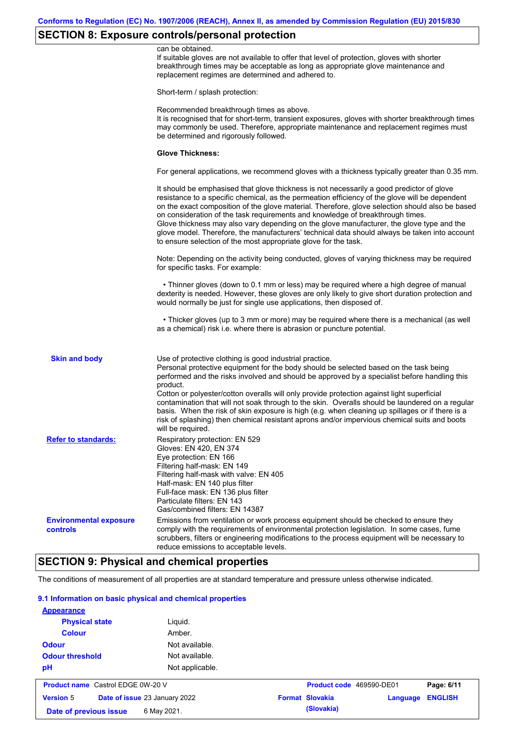# **SECTION 8: Exposure controls/personal protection**

|                                           | can be obtained.<br>If suitable gloves are not available to offer that level of protection, gloves with shorter<br>breakthrough times may be acceptable as long as appropriate glove maintenance and<br>replacement regimes are determined and adhered to.                                                                                                                                                                                                                                                                                                                                                                                                                            |
|-------------------------------------------|---------------------------------------------------------------------------------------------------------------------------------------------------------------------------------------------------------------------------------------------------------------------------------------------------------------------------------------------------------------------------------------------------------------------------------------------------------------------------------------------------------------------------------------------------------------------------------------------------------------------------------------------------------------------------------------|
|                                           | Short-term / splash protection:                                                                                                                                                                                                                                                                                                                                                                                                                                                                                                                                                                                                                                                       |
|                                           | Recommended breakthrough times as above.<br>It is recognised that for short-term, transient exposures, gloves with shorter breakthrough times<br>may commonly be used. Therefore, appropriate maintenance and replacement regimes must<br>be determined and rigorously followed.                                                                                                                                                                                                                                                                                                                                                                                                      |
|                                           | <b>Glove Thickness:</b>                                                                                                                                                                                                                                                                                                                                                                                                                                                                                                                                                                                                                                                               |
|                                           | For general applications, we recommend gloves with a thickness typically greater than 0.35 mm.                                                                                                                                                                                                                                                                                                                                                                                                                                                                                                                                                                                        |
|                                           | It should be emphasised that glove thickness is not necessarily a good predictor of glove<br>resistance to a specific chemical, as the permeation efficiency of the glove will be dependent<br>on the exact composition of the glove material. Therefore, glove selection should also be based<br>on consideration of the task requirements and knowledge of breakthrough times.<br>Glove thickness may also vary depending on the glove manufacturer, the glove type and the<br>glove model. Therefore, the manufacturers' technical data should always be taken into account<br>to ensure selection of the most appropriate glove for the task.                                     |
|                                           | Note: Depending on the activity being conducted, gloves of varying thickness may be required<br>for specific tasks. For example:                                                                                                                                                                                                                                                                                                                                                                                                                                                                                                                                                      |
|                                           | • Thinner gloves (down to 0.1 mm or less) may be required where a high degree of manual<br>dexterity is needed. However, these gloves are only likely to give short duration protection and<br>would normally be just for single use applications, then disposed of.                                                                                                                                                                                                                                                                                                                                                                                                                  |
|                                           | • Thicker gloves (up to 3 mm or more) may be required where there is a mechanical (as well<br>as a chemical) risk i.e. where there is abrasion or puncture potential.                                                                                                                                                                                                                                                                                                                                                                                                                                                                                                                 |
| <b>Skin and body</b>                      | Use of protective clothing is good industrial practice.<br>Personal protective equipment for the body should be selected based on the task being<br>performed and the risks involved and should be approved by a specialist before handling this<br>product.<br>Cotton or polyester/cotton overalls will only provide protection against light superficial<br>contamination that will not soak through to the skin. Overalls should be laundered on a regular<br>basis. When the risk of skin exposure is high (e.g. when cleaning up spillages or if there is a<br>risk of splashing) then chemical resistant aprons and/or impervious chemical suits and boots<br>will be required. |
| <b>Refer to standards:</b>                | Respiratory protection: EN 529<br>Gloves: EN 420, EN 374<br>Eye protection: EN 166<br>Filtering half-mask: EN 149<br>Filtering half-mask with valve: EN 405<br>Half-mask: EN 140 plus filter<br>Full-face mask: EN 136 plus filter<br>Particulate filters: EN 143<br>Gas/combined filters: EN 14387                                                                                                                                                                                                                                                                                                                                                                                   |
| <b>Environmental exposure</b><br>controls | Emissions from ventilation or work process equipment should be checked to ensure they<br>comply with the requirements of environmental protection legislation. In some cases, fume<br>scrubbers, filters or engineering modifications to the process equipment will be necessary to<br>reduce emissions to acceptable levels.                                                                                                                                                                                                                                                                                                                                                         |

## **SECTION 9: Physical and chemical properties**

The conditions of measurement of all properties are at standard temperature and pressure unless otherwise indicated.

#### **9.1 Information on basic physical and chemical properties**

| <b>Appearance</b>                                 |                 |                          |          |                |
|---------------------------------------------------|-----------------|--------------------------|----------|----------------|
| <b>Physical state</b>                             | Liquid.         |                          |          |                |
| <b>Colour</b>                                     | Amber.          |                          |          |                |
| <b>Odour</b>                                      | Not available.  |                          |          |                |
| <b>Odour threshold</b>                            | Not available.  |                          |          |                |
| pH                                                | Not applicable. |                          |          |                |
| <b>Product name</b> Castrol EDGE 0W-20 V          |                 | Product code 469590-DE01 |          | Page: 6/11     |
| <b>Version 5</b><br>Date of issue 23 January 2022 |                 | <b>Format Slovakia</b>   | Language | <b>ENGLISH</b> |
| Date of previous issue                            | 6 May 2021.     | (Slovakia)               |          |                |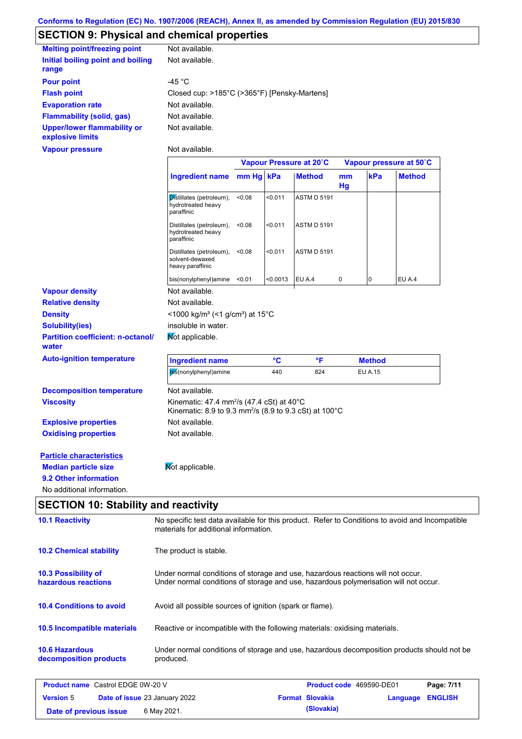# **SECTION 9: Physical and chemical properties**

| <b>Melting point/freezing point</b>             | Not available.                               |
|-------------------------------------------------|----------------------------------------------|
| Initial boiling point and boiling<br>range      | Not available.                               |
| <b>Pour point</b>                               | -45 °C                                       |
| <b>Flash point</b>                              | Closed cup: >185°C (>365°F) [Pensky-Martens] |
| <b>Evaporation rate</b>                         | Not available.                               |
| <b>Flammability (solid, gas)</b>                | Not available.                               |
| Upper/lower flammability or<br>explosive limits | Not available.                               |
| <b>Vapour pressure</b>                          | Not available.                               |

|                                                     |                                                                                                                                       |           |          | Vapour Pressure at 20°C |          |                | Vapour pressure at 50°C |
|-----------------------------------------------------|---------------------------------------------------------------------------------------------------------------------------------------|-----------|----------|-------------------------|----------|----------------|-------------------------|
|                                                     | <b>Ingredient name</b>                                                                                                                | mm Hg kPa |          | <b>Method</b>           | mm<br>Hg | kPa            | <b>Method</b>           |
|                                                     | Distillates (petroleum),<br>hydrotreated heavy<br>paraffinic                                                                          | < 0.08    | < 0.011  | <b>ASTM D 5191</b>      |          |                |                         |
|                                                     | Distillates (petroleum),<br>hydrotreated heavy<br>paraffinic                                                                          | < 0.08    | < 0.011  | <b>ASTM D 5191</b>      |          |                |                         |
|                                                     | Distillates (petroleum),<br>solvent-dewaxed<br>heavy paraffinic                                                                       | < 0.08    | < 0.011  | <b>ASTM D 5191</b>      |          |                |                         |
|                                                     | bis(nonylphenyl)amine <0.01                                                                                                           |           | < 0.0013 | EU A.4                  | 0        | $\overline{0}$ | EU A.4                  |
| <b>Vapour density</b>                               | Not available.                                                                                                                        |           |          |                         |          |                |                         |
| <b>Relative density</b>                             | Not available.                                                                                                                        |           |          |                         |          |                |                         |
| <b>Density</b>                                      | <1000 kg/m <sup>3</sup> (<1 g/cm <sup>3</sup> ) at 15 <sup>°</sup> C                                                                  |           |          |                         |          |                |                         |
| <b>Solubility(ies)</b>                              | insoluble in water.                                                                                                                   |           |          |                         |          |                |                         |
| <b>Partition coefficient: n-octanol/</b><br>water   | Mot applicable.                                                                                                                       |           |          |                         |          |                |                         |
| <b>Auto-ignition temperature</b>                    | <b>Ingredient name</b>                                                                                                                |           | °C       | °F                      |          | <b>Method</b>  |                         |
|                                                     | bis(nonylphenyl)amine                                                                                                                 |           | 440      | 824                     |          | EU A.15        |                         |
| <b>Decomposition temperature</b>                    | Not available.                                                                                                                        |           |          |                         |          |                |                         |
| <b>Viscosity</b>                                    | Kinematic: 47.4 mm <sup>2</sup> /s (47.4 cSt) at $40^{\circ}$ C<br>Kinematic: 8.9 to 9.3 mm <sup>2</sup> /s (8.9 to 9.3 cSt) at 100°C |           |          |                         |          |                |                         |
| <b>Explosive properties</b>                         | Not available.                                                                                                                        |           |          |                         |          |                |                         |
| <b>Oxidising properties</b>                         | Not available.                                                                                                                        |           |          |                         |          |                |                         |
| <b>Particle characteristics</b>                     |                                                                                                                                       |           |          |                         |          |                |                         |
|                                                     |                                                                                                                                       |           |          |                         |          |                |                         |
| <b>Median particle size</b>                         | Mot applicable.                                                                                                                       |           |          |                         |          |                |                         |
| 9.2 Other information<br>No additional information. |                                                                                                                                       |           |          |                         |          |                |                         |

# **SECTION 10: Stability and reactivity**

| <b>10.1 Reactivity</b>                            | No specific test data available for this product. Refer to Conditions to avoid and Incompatible<br>materials for additional information.                                |                                 |          |                |
|---------------------------------------------------|-------------------------------------------------------------------------------------------------------------------------------------------------------------------------|---------------------------------|----------|----------------|
| <b>10.2 Chemical stability</b>                    | The product is stable.                                                                                                                                                  |                                 |          |                |
| 10.3 Possibility of<br>hazardous reactions        | Under normal conditions of storage and use, hazardous reactions will not occur.<br>Under normal conditions of storage and use, hazardous polymerisation will not occur. |                                 |          |                |
| <b>10.4 Conditions to avoid</b>                   | Avoid all possible sources of ignition (spark or flame).                                                                                                                |                                 |          |                |
| 10.5 Incompatible materials                       | Reactive or incompatible with the following materials: oxidising materials.                                                                                             |                                 |          |                |
| <b>10.6 Hazardous</b><br>decomposition products   | Under normal conditions of storage and use, hazardous decomposition products should not be<br>produced.                                                                 |                                 |          |                |
| <b>Product name</b> Castrol EDGE 0W-20 V          |                                                                                                                                                                         | <b>Product code</b> 469590-DE01 |          | Page: 7/11     |
| Date of issue 23 January 2022<br><b>Version 5</b> |                                                                                                                                                                         | <b>Format Slovakia</b>          | Language | <b>ENGLISH</b> |
| Date of previous issue                            | 6 May 2021.                                                                                                                                                             | (Slovakia)                      |          |                |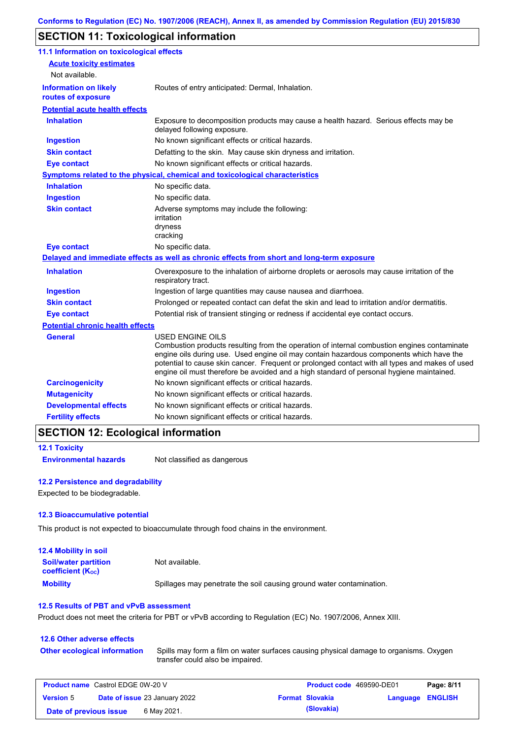## **SECTION 11: Toxicological information**

| 11.1 Information on toxicological effects          |                                                                                                                                                                                                                                                                                                                                                                                                                 |
|----------------------------------------------------|-----------------------------------------------------------------------------------------------------------------------------------------------------------------------------------------------------------------------------------------------------------------------------------------------------------------------------------------------------------------------------------------------------------------|
| <b>Acute toxicity estimates</b>                    |                                                                                                                                                                                                                                                                                                                                                                                                                 |
| Not available.                                     |                                                                                                                                                                                                                                                                                                                                                                                                                 |
| <b>Information on likely</b><br>routes of exposure | Routes of entry anticipated: Dermal, Inhalation.                                                                                                                                                                                                                                                                                                                                                                |
| <b>Potential acute health effects</b>              |                                                                                                                                                                                                                                                                                                                                                                                                                 |
| <b>Inhalation</b>                                  | Exposure to decomposition products may cause a health hazard. Serious effects may be<br>delayed following exposure.                                                                                                                                                                                                                                                                                             |
| <b>Ingestion</b>                                   | No known significant effects or critical hazards.                                                                                                                                                                                                                                                                                                                                                               |
| <b>Skin contact</b>                                | Defatting to the skin. May cause skin dryness and irritation.                                                                                                                                                                                                                                                                                                                                                   |
| <b>Eye contact</b>                                 | No known significant effects or critical hazards.                                                                                                                                                                                                                                                                                                                                                               |
|                                                    | Symptoms related to the physical, chemical and toxicological characteristics                                                                                                                                                                                                                                                                                                                                    |
| <b>Inhalation</b>                                  | No specific data.                                                                                                                                                                                                                                                                                                                                                                                               |
| <b>Ingestion</b>                                   | No specific data.                                                                                                                                                                                                                                                                                                                                                                                               |
| <b>Skin contact</b>                                | Adverse symptoms may include the following:<br>irritation<br>dryness<br>cracking                                                                                                                                                                                                                                                                                                                                |
| <b>Eye contact</b>                                 | No specific data.                                                                                                                                                                                                                                                                                                                                                                                               |
|                                                    | Delayed and immediate effects as well as chronic effects from short and long-term exposure                                                                                                                                                                                                                                                                                                                      |
| <b>Inhalation</b>                                  | Overexposure to the inhalation of airborne droplets or aerosols may cause irritation of the<br>respiratory tract.                                                                                                                                                                                                                                                                                               |
| <b>Ingestion</b>                                   | Ingestion of large quantities may cause nausea and diarrhoea.                                                                                                                                                                                                                                                                                                                                                   |
| <b>Skin contact</b>                                | Prolonged or repeated contact can defat the skin and lead to irritation and/or dermatitis.                                                                                                                                                                                                                                                                                                                      |
| <b>Eye contact</b>                                 | Potential risk of transient stinging or redness if accidental eye contact occurs.                                                                                                                                                                                                                                                                                                                               |
| <b>Potential chronic health effects</b>            |                                                                                                                                                                                                                                                                                                                                                                                                                 |
| General                                            | <b>USED ENGINE OILS</b><br>Combustion products resulting from the operation of internal combustion engines contaminate<br>engine oils during use. Used engine oil may contain hazardous components which have the<br>potential to cause skin cancer. Frequent or prolonged contact with all types and makes of used<br>engine oil must therefore be avoided and a high standard of personal hygiene maintained. |
| <b>Carcinogenicity</b>                             | No known significant effects or critical hazards.                                                                                                                                                                                                                                                                                                                                                               |
| <b>Mutagenicity</b>                                | No known significant effects or critical hazards.                                                                                                                                                                                                                                                                                                                                                               |
| <b>Developmental effects</b>                       | No known significant effects or critical hazards.                                                                                                                                                                                                                                                                                                                                                               |
| <b>Fertility effects</b>                           | No known significant effects or critical hazards.                                                                                                                                                                                                                                                                                                                                                               |

### **SECTION 12: Ecological information**

```
12.1 Toxicity
```
**Environmental hazards** Not classified as dangerous

#### **12.2 Persistence and degradability**

Expected to be biodegradable.

#### **12.3 Bioaccumulative potential**

This product is not expected to bioaccumulate through food chains in the environment.

| <b>12.4 Mobility in soil</b>                            |                                                                      |
|---------------------------------------------------------|----------------------------------------------------------------------|
| <b>Soil/water partition</b><br><b>coefficient (Koc)</b> | Not available.                                                       |
| <b>Mobility</b>                                         | Spillages may penetrate the soil causing ground water contamination. |

#### **12.5 Results of PBT and vPvB assessment**

Product does not meet the criteria for PBT or vPvB according to Regulation (EC) No. 1907/2006, Annex XIII.

#### **12.6 Other adverse effects** Spills may form a film on water surfaces causing physical damage to organisms. Oxygen transfer could also be impaired. **Other ecological information**

**Date of previous issue** 6 May 2021.

|                  | <b>Product name</b> Castrol EDGE 0W-20 V |                        | <b>Product code</b> 469590-DE01 | Page: 8/11 |
|------------------|------------------------------------------|------------------------|---------------------------------|------------|
| <b>Version</b> 5 | <b>Date of issue 23 January 2022</b>     | <b>Format Slovakia</b> | <b>Language ENGLISH</b>         |            |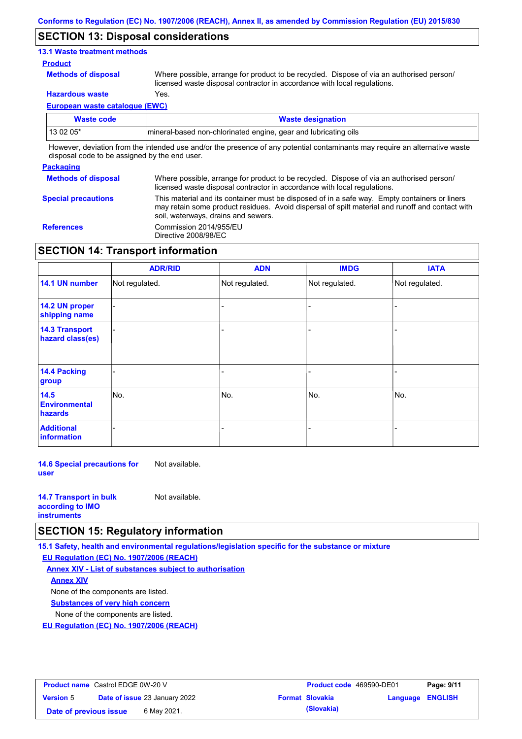### **SECTION 13: Disposal considerations**

#### **13.1 Waste treatment methods**

#### **Product**

**Methods of disposal**

Where possible, arrange for product to be recycled. Dispose of via an authorised person/ licensed waste disposal contractor in accordance with local regulations.

**Hazardous waste** Yes.

**European waste catalogue (EWC)**

| Waste code | <b>Waste designation</b>                                                                                                    |
|------------|-----------------------------------------------------------------------------------------------------------------------------|
| 13 02 05*  | Imineral-based non-chlorinated engine, gear and lubricating oils                                                            |
|            | However, deviation from the intended use and/or the presence of any potential contaminants may require an alternative waste |

disposal code to be assigned by the end user.

#### **Packaging**

| <b>Methods of disposal</b> | Where possible, arrange for product to be recycled. Dispose of via an authorised person/<br>licensed waste disposal contractor in accordance with local regulations.                                                                    |
|----------------------------|-----------------------------------------------------------------------------------------------------------------------------------------------------------------------------------------------------------------------------------------|
| <b>Special precautions</b> | This material and its container must be disposed of in a safe way. Empty containers or liners<br>may retain some product residues. Avoid dispersal of spilt material and runoff and contact with<br>soil, waterways, drains and sewers. |
| <b>References</b>          | Commission 2014/955/EU<br>Directive 2008/98/EC                                                                                                                                                                                          |

## **SECTION 14: Transport information**

|                                           | <b>ADR/RID</b> | <b>ADN</b>     | <b>IMDG</b>    | <b>IATA</b>    |
|-------------------------------------------|----------------|----------------|----------------|----------------|
| 14.1 UN number                            | Not regulated. | Not regulated. | Not regulated. | Not regulated. |
| 14.2 UN proper<br>shipping name           |                |                |                |                |
| <b>14.3 Transport</b><br>hazard class(es) |                |                |                |                |
| 14.4 Packing<br>group                     |                |                |                |                |
| 14.5<br><b>Environmental</b><br>hazards   | No.            | No.            | No.            | No.            |
| <b>Additional</b><br>information          |                |                |                |                |

**14.6 Special precautions for user** Not available.

| <b>14.7 Transport in bulk</b> | Not available. |
|-------------------------------|----------------|
| according to <b>IMO</b>       |                |
| <b>instruments</b>            |                |

### **SECTION 15: Regulatory information**

**15.1 Safety, health and environmental regulations/legislation specific for the substance or mixture**

**EU Regulation (EC) No. 1907/2006 (REACH)**

**Annex XIV - List of substances subject to authorisation Substances of very high concern** None of the components are listed. None of the components are listed. **Annex XIV**

**EU Regulation (EC) No. 1907/2006 (REACH)**

| <b>Product name</b> Castrol EDGE 0W-20 V |  |                                      | <b>Product code</b> 469590-DE01 |                        | Page: 9/11       |  |
|------------------------------------------|--|--------------------------------------|---------------------------------|------------------------|------------------|--|
| <b>Version 5</b>                         |  | <b>Date of issue 23 January 2022</b> |                                 | <b>Format Slovakia</b> | Language ENGLISH |  |
| Date of previous issue                   |  | 6 May 2021.                          |                                 | (Slovakia)             |                  |  |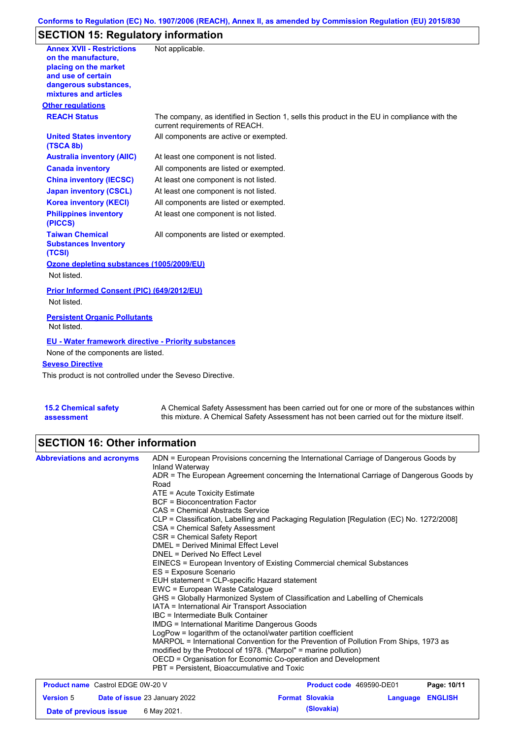## **Conforms to Regulation (EC) No. 1907/2006 (REACH), Annex II, as amended by Commission Regulation (EU) 2015/830**

# **SECTION 15: Regulatory information**

| <b>Annex XVII - Restrictions</b><br>on the manufacture.<br>placing on the market<br>and use of certain<br>dangerous substances,<br>mixtures and articles | Not applicable.                                                                                                                |
|----------------------------------------------------------------------------------------------------------------------------------------------------------|--------------------------------------------------------------------------------------------------------------------------------|
| <b>Other regulations</b>                                                                                                                                 |                                                                                                                                |
| <b>REACH Status</b>                                                                                                                                      | The company, as identified in Section 1, sells this product in the EU in compliance with the<br>current requirements of REACH. |
| <b>United States inventory</b><br>(TSCA 8b)                                                                                                              | All components are active or exempted.                                                                                         |
| <b>Australia inventory (AIIC)</b>                                                                                                                        | At least one component is not listed.                                                                                          |
| <b>Canada inventory</b>                                                                                                                                  | All components are listed or exempted.                                                                                         |
| <b>China inventory (IECSC)</b>                                                                                                                           | At least one component is not listed.                                                                                          |
| <b>Japan inventory (CSCL)</b>                                                                                                                            | At least one component is not listed.                                                                                          |
| <b>Korea inventory (KECI)</b>                                                                                                                            | All components are listed or exempted.                                                                                         |
| <b>Philippines inventory</b><br>(PICCS)                                                                                                                  | At least one component is not listed.                                                                                          |
| <b>Taiwan Chemical</b><br><b>Substances Inventory</b><br>(TCSI)                                                                                          | All components are listed or exempted.                                                                                         |
| Ozone depleting substances (1005/2009/EU)                                                                                                                |                                                                                                                                |
| Not listed.                                                                                                                                              |                                                                                                                                |
| Prior Informed Consent (PIC) (649/2012/EU)<br>Not listed.                                                                                                |                                                                                                                                |
| <b>Persistent Organic Pollutants</b><br>Not listed.                                                                                                      |                                                                                                                                |
| <b>EU - Water framework directive - Priority substances</b><br>None of the components are listed.                                                        |                                                                                                                                |
| <b>Seveso Directive</b>                                                                                                                                  |                                                                                                                                |
| This product is not controlled under the Seveso Directive.                                                                                               |                                                                                                                                |
|                                                                                                                                                          |                                                                                                                                |

| <b>15.2 Chemical safety</b> | A Chemical Safety Assessment has been carried out for one or more of the substances within  |
|-----------------------------|---------------------------------------------------------------------------------------------|
| assessment                  | this mixture. A Chemical Safety Assessment has not been carried out for the mixture itself. |

# **SECTION 16: Other information**

| <b>Abbreviations and acronyms</b>        | ADN = European Provisions concerning the International Carriage of Dangerous Goods by<br>Inland Waterway                     |
|------------------------------------------|------------------------------------------------------------------------------------------------------------------------------|
|                                          | ADR = The European Agreement concerning the International Carriage of Dangerous Goods by                                     |
|                                          | Road                                                                                                                         |
|                                          | ATE = Acute Toxicity Estimate                                                                                                |
|                                          | <b>BCF</b> = Bioconcentration Factor                                                                                         |
|                                          | CAS = Chemical Abstracts Service                                                                                             |
|                                          | CLP = Classification, Labelling and Packaging Regulation [Regulation (EC) No. 1272/2008]<br>CSA = Chemical Safety Assessment |
|                                          | CSR = Chemical Safety Report                                                                                                 |
|                                          | <b>DMEL = Derived Minimal Effect Level</b>                                                                                   |
|                                          | DNEL = Derived No Effect Level                                                                                               |
|                                          | EINECS = European Inventory of Existing Commercial chemical Substances                                                       |
|                                          | ES = Exposure Scenario                                                                                                       |
|                                          | EUH statement = CLP-specific Hazard statement                                                                                |
|                                          | EWC = European Waste Catalogue                                                                                               |
|                                          | GHS = Globally Harmonized System of Classification and Labelling of Chemicals                                                |
|                                          | IATA = International Air Transport Association                                                                               |
|                                          | IBC = Intermediate Bulk Container                                                                                            |
|                                          | IMDG = International Maritime Dangerous Goods                                                                                |
|                                          | LogPow = logarithm of the octanol/water partition coefficient                                                                |
|                                          | MARPOL = International Convention for the Prevention of Pollution From Ships, 1973 as                                        |
|                                          | modified by the Protocol of 1978. ("Marpol" = marine pollution)                                                              |
|                                          | OECD = Organisation for Economic Co-operation and Development                                                                |
|                                          | PBT = Persistent, Bioaccumulative and Toxic                                                                                  |
| <b>Product name</b> Castrol EDGE 0W-20 V | Page: 10/11<br><b>Product code</b> 469590-DE01                                                                               |
|                                          |                                                                                                                              |

| <b>Version 5</b>       | <b>Date of issue 23 January 2022</b> | <b>Format Slovakia</b> | Language ENGLISH |  |
|------------------------|--------------------------------------|------------------------|------------------|--|
| Date of previous issue | 6 May 2021.                          | (Slovakia)             |                  |  |